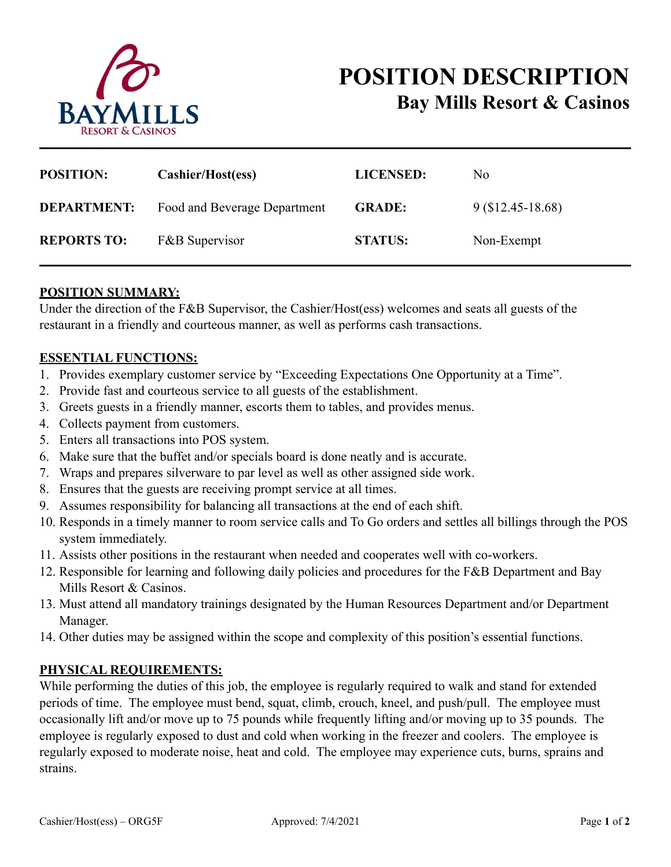

| <b>POSITION:</b>   | Cashier/Host(ess)            | <b>LICENSED:</b> | No.              |
|--------------------|------------------------------|------------------|------------------|
| <b>DEPARTMENT:</b> | Food and Beverage Department | <b>GRADE:</b>    | $9(12.45-18.68)$ |
| <b>REPORTS TO:</b> | <b>F&amp;B</b> Supervisor    | <b>STATUS:</b>   | Non-Exempt       |

## **POSITION SUMMARY:**

Under the direction of the F&B Supervisor, the Cashier/Host(ess) welcomes and seats all guests of the restaurant in a friendly and courteous manner, as well as performs cash transactions.

## **ESSENTIAL FUNCTIONS:**

- 1. Provides exemplary customer service by "Exceeding Expectations One Opportunity at a Time".
- 2. Provide fast and courteous service to all guests of the establishment.
- 3. Greets guests in a friendly manner, escorts them to tables, and provides menus.
- 4. Collects payment from customers.
- 5. Enters all transactions into POS system.
- 6. Make sure that the buffet and/or specials board is done neatly and is accurate.
- 7. Wraps and prepares silverware to par level as well as other assigned side work.
- 8. Ensures that the guests are receiving prompt service at all times.
- 9. Assumes responsibility for balancing all transactions at the end of each shift.
- 10. Responds in a timely manner to room service calls and To Go orders and settles all billings through the POS system immediately.
- 11. Assists other positions in the restaurant when needed and cooperates well with co-workers.
- 12. Responsible for learning and following daily policies and procedures for the F&B Department and Bay Mills Resort & Casinos.
- 13. Must attend all mandatory trainings designated by the Human Resources Department and/or Department Manager.
- 14. Other duties may be assigned within the scope and complexity of this position's essential functions.

## **PHYSICAL REQUIREMENTS:**

While performing the duties of this job, the employee is regularly required to walk and stand for extended periods of time. The employee must bend, squat, climb, crouch, kneel, and push/pull. The employee must occasionally lift and/or move up to 75 pounds while frequently lifting and/or moving up to 35 pounds. The employee is regularly exposed to dust and cold when working in the freezer and coolers. The employee is regularly exposed to moderate noise, heat and cold. The employee may experience cuts, burns, sprains and strains.